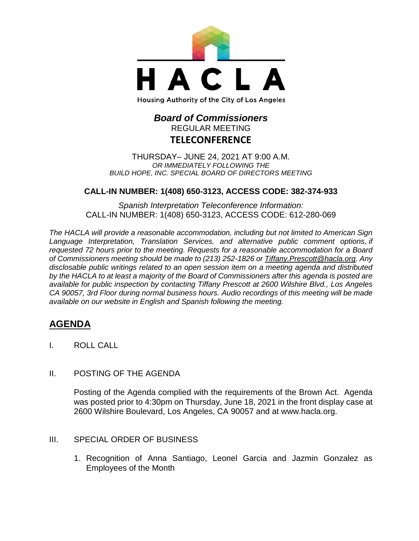

#### Housing Authority of the City of Los Angeles

# *Board of Commissioners* REGULAR MEETING **TELECONFERENCE**

THURSDAY– JUNE 24, 2021 AT 9:00 A.M. *OR IMMEDIATELY FOLLOWING THE BUILD HOPE, INC. SPECIAL BOARD OF DIRECTORS MEETING*

### **CALL-IN NUMBER: 1(408) 650-3123, ACCESS CODE: 382-374-933**

*Spanish Interpretation Teleconference Information:* CALL-IN NUMBER: 1(408) 650-3123, ACCESS CODE: 612-280-069

*The HACLA will provide a reasonable accommodation, including but not limited to American Sign Language Interpretation, Translation Services, and alternative public comment options, if requested 72 hours prior to the meeting. Requests for a reasonable accommodation for a Board of Commissioners meeting should be made to (213) 252-1826 or Tiffany.Prescott@hacla.org. Any disclosable public writings related to an open session item on a meeting agenda and distributed by the HACLA to at least a majority of the Board of Commissioners after this agenda is posted are available for public inspection by contacting Tiffany Prescott at 2600 Wilshire Blvd., Los Angeles CA 90057, 3rd Floor during normal business hours. Audio recordings of this meeting will be made available on our website in English and Spanish following the meeting.*

# **AGENDA**

- I. ROLL CALL
- II. POSTING OF THE AGENDA

Posting of the Agenda complied with the requirements of the Brown Act. Agenda was posted prior to 4:30pm on Thursday, June 18, 2021 in the front display case at 2600 Wilshire Boulevard, Los Angeles, CA 90057 and at [www.hacla.org.](http://www.hacla.org/)

# III. SPECIAL ORDER OF BUSINESS

1. Recognition of Anna Santiago, Leonel Garcia and Jazmin Gonzalez as Employees of the Month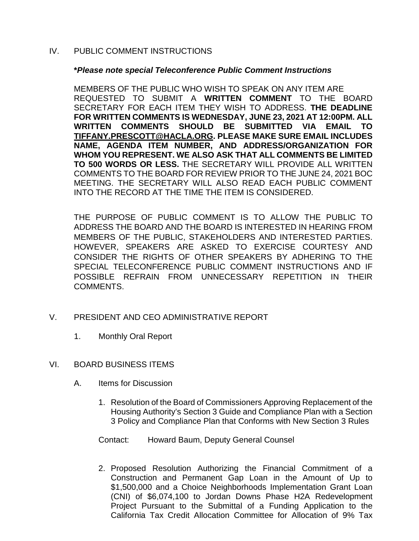# IV. PUBLIC COMMENT INSTRUCTIONS

### **\****Please note special Teleconference Public Comment Instructions*

MEMBERS OF THE PUBLIC WHO WISH TO SPEAK ON ANY ITEM ARE REQUESTED TO SUBMIT A **WRITTEN COMMENT** TO THE BOARD SECRETARY FOR EACH ITEM THEY WISH TO ADDRESS. **THE DEADLINE FOR WRITTEN COMMENTS IS WEDNESDAY, JUNE 23, 2021 AT 12:00PM. ALL WRITTEN COMMENTS SHOULD BE SUBMITTED VIA EMAIL TO [TIFFANY.PRESCOTT@HACLA.ORG.](mailto:TIFFANY.PRESCOTT@HACLA.ORG) PLEASE MAKE SURE EMAIL INCLUDES NAME, AGENDA ITEM NUMBER, AND ADDRESS/ORGANIZATION FOR WHOM YOU REPRESENT. WE ALSO ASK THAT ALL COMMENTS BE LIMITED TO 500 WORDS OR LESS.** THE SECRETARY WILL PROVIDE ALL WRITTEN COMMENTS TO THE BOARD FOR REVIEW PRIOR TO THE JUNE 24, 2021 BOC MEETING. THE SECRETARY WILL ALSO READ EACH PUBLIC COMMENT INTO THE RECORD AT THE TIME THE ITEM IS CONSIDERED.

THE PURPOSE OF PUBLIC COMMENT IS TO ALLOW THE PUBLIC TO ADDRESS THE BOARD AND THE BOARD IS INTERESTED IN HEARING FROM MEMBERS OF THE PUBLIC, STAKEHOLDERS AND INTERESTED PARTIES. HOWEVER, SPEAKERS ARE ASKED TO EXERCISE COURTESY AND CONSIDER THE RIGHTS OF OTHER SPEAKERS BY ADHERING TO THE SPECIAL TELECONFERENCE PUBLIC COMMENT INSTRUCTIONS AND IF POSSIBLE REFRAIN FROM UNNECESSARY REPETITION IN THEIR COMMENTS.

- V. PRESIDENT AND CEO ADMINISTRATIVE REPORT
	- 1. Monthly Oral Report

# VI. BOARD BUSINESS ITEMS

- A. Items for Discussion
	- 1. Resolution of the Board of Commissioners Approving Replacement of the Housing Authority's Section 3 Guide and Compliance Plan with a Section 3 Policy and Compliance Plan that Conforms with New Section 3 Rules
	- Contact: Howard Baum, Deputy General Counsel
	- 2. Proposed Resolution Authorizing the Financial Commitment of a Construction and Permanent Gap Loan in the Amount of Up to \$1,500,000 and a Choice Neighborhoods Implementation Grant Loan (CNI) of \$6,074,100 to Jordan Downs Phase H2A Redevelopment Project Pursuant to the Submittal of a Funding Application to the California Tax Credit Allocation Committee for Allocation of 9% Tax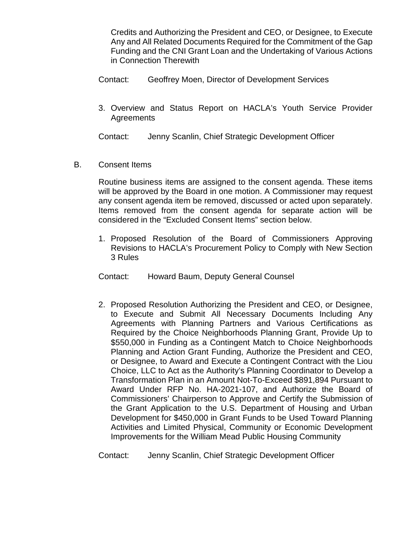Credits and Authorizing the President and CEO, or Designee, to Execute Any and All Related Documents Required for the Commitment of the Gap Funding and the CNI Grant Loan and the Undertaking of Various Actions in Connection Therewith

- Contact: Geoffrey Moen, Director of Development Services
- 3. Overview and Status Report on HACLA's Youth Service Provider **Agreements**

Contact: Jenny Scanlin, Chief Strategic Development Officer

B. Consent Items

Routine business items are assigned to the consent agenda. These items will be approved by the Board in one motion. A Commissioner may request any consent agenda item be removed, discussed or acted upon separately. Items removed from the consent agenda for separate action will be considered in the "Excluded Consent Items" section below.

1. Proposed Resolution of the Board of Commissioners Approving Revisions to HACLA's Procurement Policy to Comply with New Section 3 Rules

Contact: Howard Baum, Deputy General Counsel

2. Proposed Resolution Authorizing the President and CEO, or Designee, to Execute and Submit All Necessary Documents Including Any Agreements with Planning Partners and Various Certifications as Required by the Choice Neighborhoods Planning Grant, Provide Up to \$550,000 in Funding as a Contingent Match to Choice Neighborhoods Planning and Action Grant Funding, Authorize the President and CEO, or Designee, to Award and Execute a Contingent Contract with the Liou Choice, LLC to Act as the Authority's Planning Coordinator to Develop a Transformation Plan in an Amount Not-To-Exceed \$891,894 Pursuant to Award Under RFP No. HA-2021-107, and Authorize the Board of Commissioners' Chairperson to Approve and Certify the Submission of the Grant Application to the U.S. Department of Housing and Urban Development for \$450,000 in Grant Funds to be Used Toward Planning Activities and Limited Physical, Community or Economic Development Improvements for the William Mead Public Housing Community

Contact: Jenny Scanlin, Chief Strategic Development Officer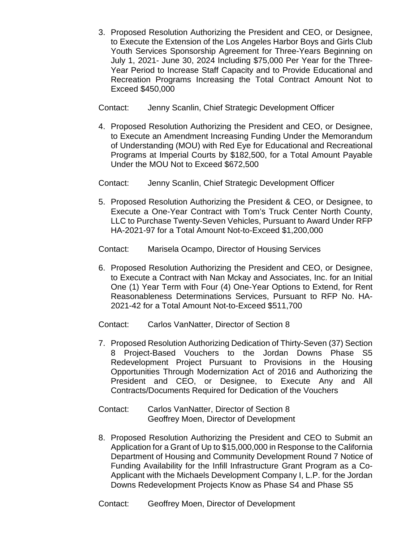3. Proposed Resolution Authorizing the President and CEO, or Designee, to Execute the Extension of the Los Angeles Harbor Boys and Girls Club Youth Services Sponsorship Agreement for Three-Years Beginning on July 1, 2021- June 30, 2024 Including \$75,000 Per Year for the Three-Year Period to Increase Staff Capacity and to Provide Educational and Recreation Programs Increasing the Total Contract Amount Not to Exceed \$450,000

Contact: Jenny Scanlin, Chief Strategic Development Officer

4. Proposed Resolution Authorizing the President and CEO, or Designee, to Execute an Amendment Increasing Funding Under the Memorandum of Understanding (MOU) with Red Eye for Educational and Recreational Programs at Imperial Courts by \$182,500, for a Total Amount Payable Under the MOU Not to Exceed \$672,500

Contact: Jenny Scanlin, Chief Strategic Development Officer

5. Proposed Resolution Authorizing the President & CEO, or Designee, to Execute a One-Year Contract with Tom's Truck Center North County, LLC to Purchase Twenty-Seven Vehicles, Pursuant to Award Under RFP HA-2021-97 for a Total Amount Not-to-Exceed \$1,200,000

Contact: Marisela Ocampo, Director of Housing Services

6. Proposed Resolution Authorizing the President and CEO, or Designee, to Execute a Contract with Nan Mckay and Associates, Inc. for an Initial One (1) Year Term with Four (4) One-Year Options to Extend, for Rent Reasonableness Determinations Services, Pursuant to RFP No. HA-2021-42 for a Total Amount Not-to-Exceed \$511,700

Contact: Carlos VanNatter, Director of Section 8

- 7. Proposed Resolution Authorizing Dedication of Thirty-Seven (37) Section 8 Project-Based Vouchers to the Jordan Downs Phase S5 Redevelopment Project Pursuant to Provisions in the Housing Opportunities Through Modernization Act of 2016 and Authorizing the President and CEO, or Designee, to Execute Any and All Contracts/Documents Required for Dedication of the Vouchers
- Contact: Carlos VanNatter, Director of Section 8 Geoffrey Moen, Director of Development
- 8. Proposed Resolution Authorizing the President and CEO to Submit an Application for a Grant of Up to \$15,000,000 in Response to the California Department of Housing and Community Development Round 7 Notice of Funding Availability for the Infill Infrastructure Grant Program as a Co-Applicant with the Michaels Development Company I, L.P. for the Jordan Downs Redevelopment Projects Know as Phase S4 and Phase S5